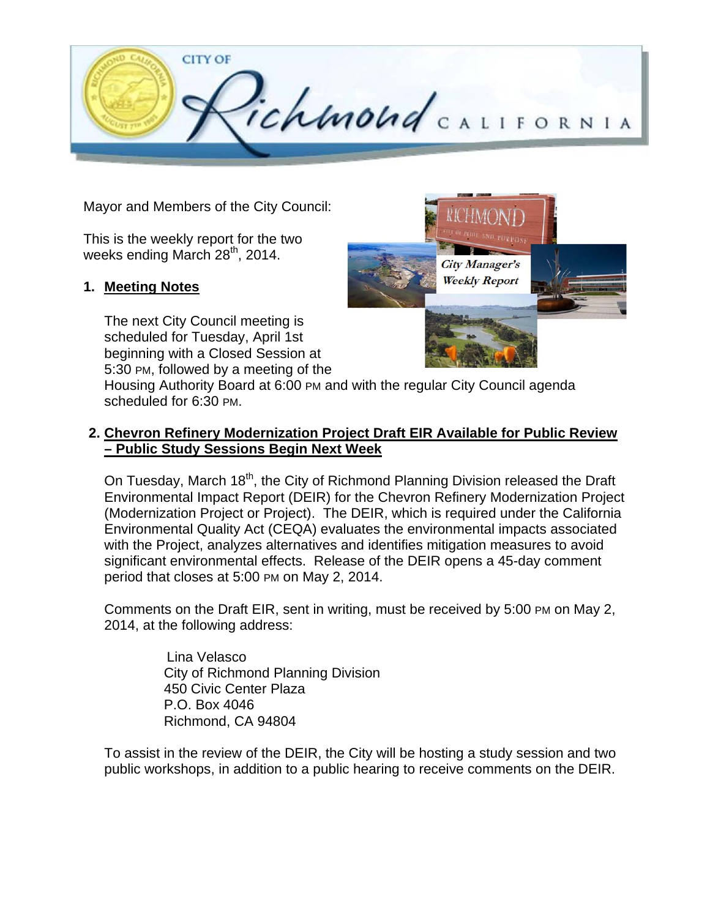

Mayor and Members of the City Council:

This is the weekly report for the two weeks ending March 28<sup>th</sup>, 2014.

## **1. Meeting Notes**

The next City Council meeting is scheduled for Tuesday, April 1st beginning with a Closed Session at 5:30 PM, followed by a meeting of the



Housing Authority Board at 6:00 PM and with the regular City Council agenda scheduled for 6:30 PM.

## **2. Chevron Refinery Modernization Project Draft EIR Available for Public Review – Public Study Sessions Begin Next Week**

On Tuesday, March 18<sup>th</sup>, the City of Richmond Planning Division released the Draft Environmental Impact Report (DEIR) for the Chevron Refinery Modernization Project (Modernization Project or Project). The DEIR, which is required under the California Environmental Quality Act (CEQA) evaluates the environmental impacts associated with the Project, analyzes alternatives and identifies mitigation measures to avoid significant environmental effects. Release of the DEIR opens a 45-day comment period that closes at 5:00 PM on May 2, 2014.

Comments on the Draft EIR, sent in writing, must be received by 5:00 PM on May 2, 2014, at the following address:

> Lina Velasco City of Richmond Planning Division 450 Civic Center Plaza P.O. Box 4046 Richmond, CA 94804

To assist in the review of the DEIR, the City will be hosting a study session and two public workshops, in addition to a public hearing to receive comments on the DEIR.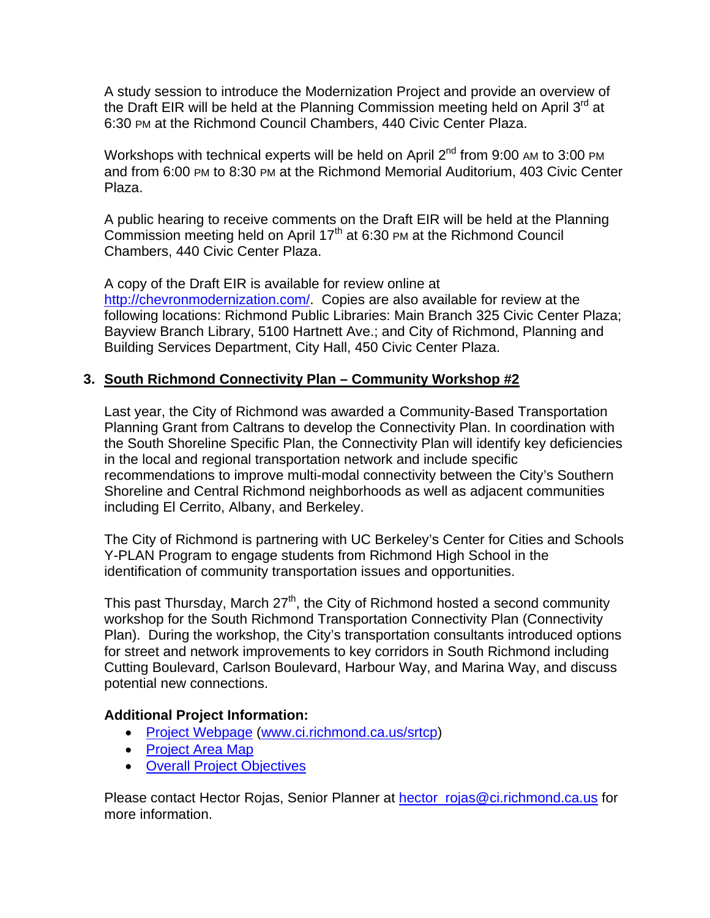A study session to introduce the Modernization Project and provide an overview of the Draft EIR will be held at the Planning Commission meeting held on April 3<sup>rd</sup> at 6:30 PM at the Richmond Council Chambers, 440 Civic Center Plaza.

Workshops with technical experts will be held on April  $2^{nd}$  from 9:00 AM to 3:00 PM and from 6:00 PM to 8:30 PM at the Richmond Memorial Auditorium, 403 Civic Center Plaza.

A public hearing to receive comments on the Draft EIR will be held at the Planning Commission meeting held on April  $17<sup>th</sup>$  at 6:30 PM at the Richmond Council Chambers, 440 Civic Center Plaza.

A copy of the Draft EIR is available for review online at http://chevronmodernization.com/. Copies are also available for review at the following locations: Richmond Public Libraries: Main Branch 325 Civic Center Plaza; Bayview Branch Library, 5100 Hartnett Ave.; and City of Richmond, Planning and Building Services Department, City Hall, 450 Civic Center Plaza.

## **3. South Richmond Connectivity Plan – Community Workshop #2**

Last year, the City of Richmond was awarded a Community-Based Transportation Planning Grant from Caltrans to develop the Connectivity Plan. In coordination with the South Shoreline Specific Plan, the Connectivity Plan will identify key deficiencies in the local and regional transportation network and include specific recommendations to improve multi-modal connectivity between the City's Southern Shoreline and Central Richmond neighborhoods as well as adjacent communities including El Cerrito, Albany, and Berkeley.

The City of Richmond is partnering with UC Berkeley's Center for Cities and Schools Y-PLAN Program to engage students from Richmond High School in the identification of community transportation issues and opportunities.

This past Thursday, March  $27<sup>th</sup>$ , the City of Richmond hosted a second community workshop for the South Richmond Transportation Connectivity Plan (Connectivity Plan). During the workshop, the City's transportation consultants introduced options for street and network improvements to key corridors in South Richmond including Cutting Boulevard, Carlson Boulevard, Harbour Way, and Marina Way, and discuss potential new connections.

## **Additional Project Information:**

- Project Webpage (www.ci.richmond.ca.us/srtcp)
- Project Area Map
- Overall Project Objectives

Please contact Hector Rojas, Senior Planner at hector\_rojas@ci.richmond.ca.us for more information.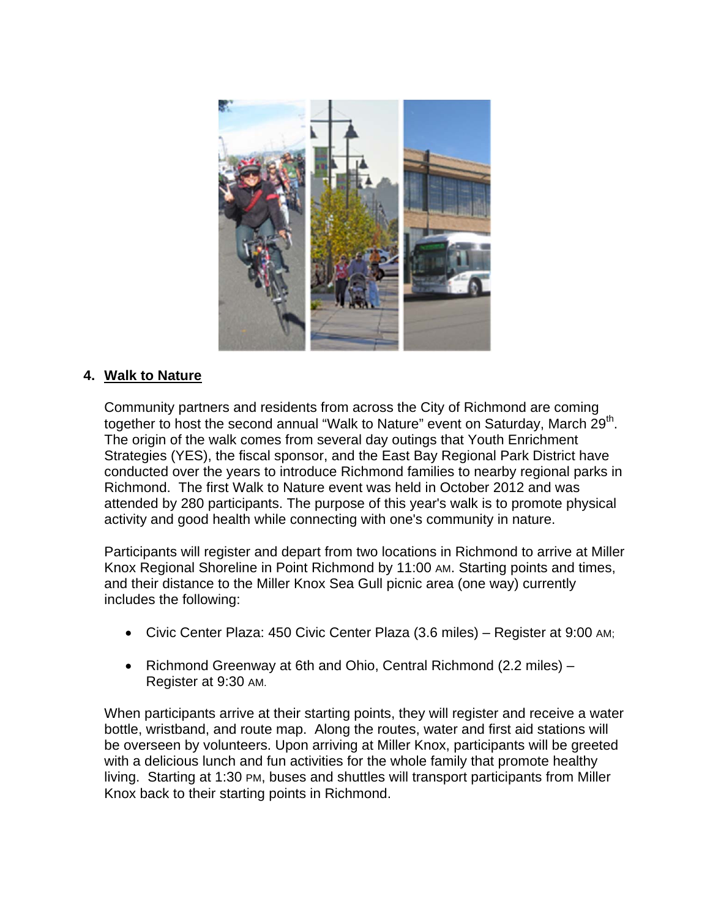

## **4. Walk to Nature**

Community partners and residents from across the City of Richmond are coming together to host the second annual "Walk to Nature" event on Saturday, March 29<sup>th</sup>. The origin of the walk comes from several day outings that Youth Enrichment Strategies (YES), the fiscal sponsor, and the East Bay Regional Park District have conducted over the years to introduce Richmond families to nearby regional parks in Richmond. The first Walk to Nature event was held in October 2012 and was attended by 280 participants. The purpose of this year's walk is to promote physical activity and good health while connecting with one's community in nature.

Participants will register and depart from two locations in Richmond to arrive at Miller Knox Regional Shoreline in Point Richmond by 11:00 AM. Starting points and times, and their distance to the Miller Knox Sea Gull picnic area (one way) currently includes the following:

- Civic Center Plaza: 450 Civic Center Plaza (3.6 miles) Register at 9:00 AM;
- Richmond Greenway at 6th and Ohio, Central Richmond (2.2 miles) Register at 9:30 AM.

When participants arrive at their starting points, they will register and receive a water bottle, wristband, and route map. Along the routes, water and first aid stations will be overseen by volunteers. Upon arriving at Miller Knox, participants will be greeted with a delicious lunch and fun activities for the whole family that promote healthy living. Starting at 1:30 PM, buses and shuttles will transport participants from Miller Knox back to their starting points in Richmond.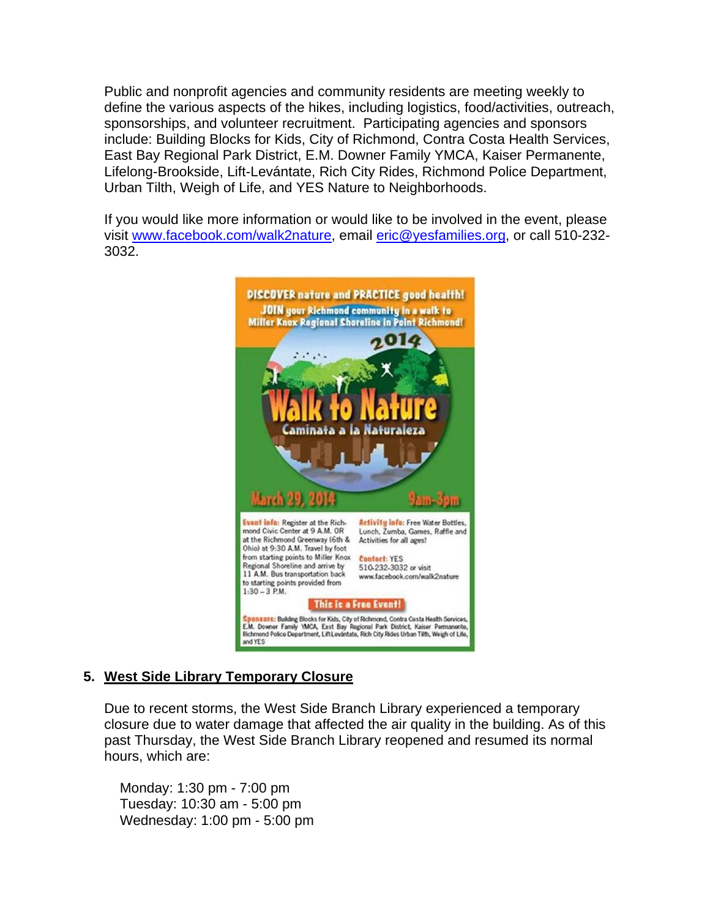Public and nonprofit agencies and community residents are meeting weekly to define the various aspects of the hikes, including logistics, food/activities, outreach, sponsorships, and volunteer recruitment. Participating agencies and sponsors include: Building Blocks for Kids, City of Richmond, Contra Costa Health Services, East Bay Regional Park District, E.M. Downer Family YMCA, Kaiser Permanente, Lifelong-Brookside, Lift-Levántate, Rich City Rides, Richmond Police Department, Urban Tilth, Weigh of Life, and YES Nature to Neighborhoods.

If you would like more information or would like to be involved in the event, please visit www.facebook.com/walk2nature, email eric@yesfamilies.org, or call 510-232- 3032.



# **5. West Side Library Temporary Closure**

Due to recent storms, the West Side Branch Library experienced a temporary closure due to water damage that affected the air quality in the building. As of this past Thursday, the West Side Branch Library reopened and resumed its normal hours, which are:

 Monday: 1:30 pm - 7:00 pm Tuesday: 10:30 am - 5:00 pm Wednesday: 1:00 pm - 5:00 pm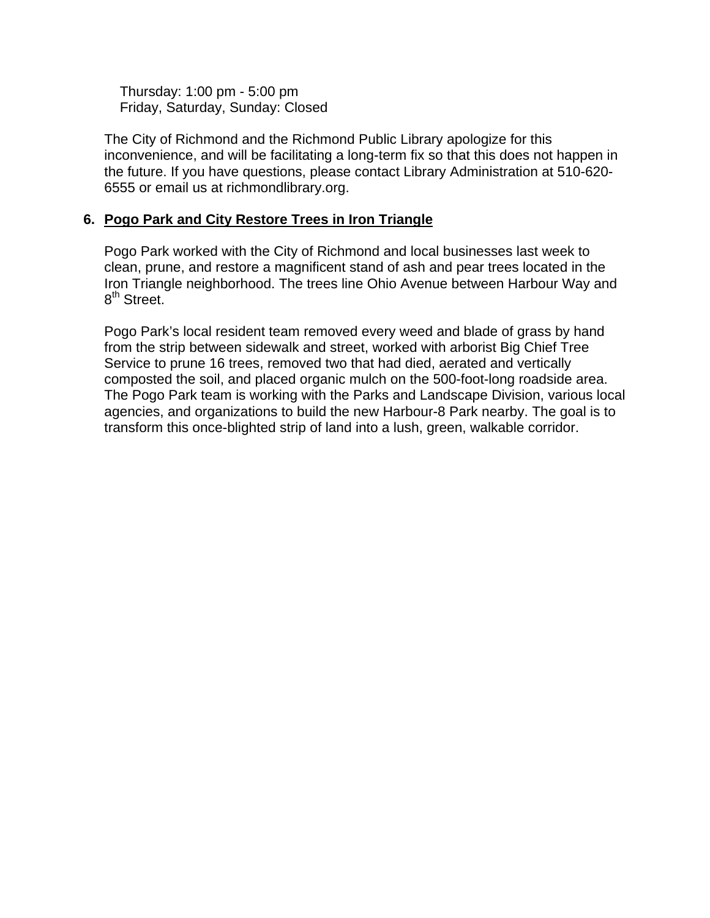Thursday: 1:00 pm - 5:00 pm Friday, Saturday, Sunday: Closed

The City of Richmond and the Richmond Public Library apologize for this inconvenience, and will be facilitating a long-term fix so that this does not happen in the future. If you have questions, please contact Library Administration at 510-620- 6555 or email us at richmondlibrary.org.

## **6. Pogo Park and City Restore Trees in Iron Triangle**

Pogo Park worked with the City of Richmond and local businesses last week to clean, prune, and restore a magnificent stand of ash and pear trees located in the Iron Triangle neighborhood. The trees line Ohio Avenue between Harbour Way and 8<sup>th</sup> Street.

Pogo Park's local resident team removed every weed and blade of grass by hand from the strip between sidewalk and street, worked with arborist Big Chief Tree Service to prune 16 trees, removed two that had died, aerated and vertically composted the soil, and placed organic mulch on the 500-foot-long roadside area. The Pogo Park team is working with the Parks and Landscape Division, various local agencies, and organizations to build the new Harbour-8 Park nearby. The goal is to transform this once-blighted strip of land into a lush, green, walkable corridor.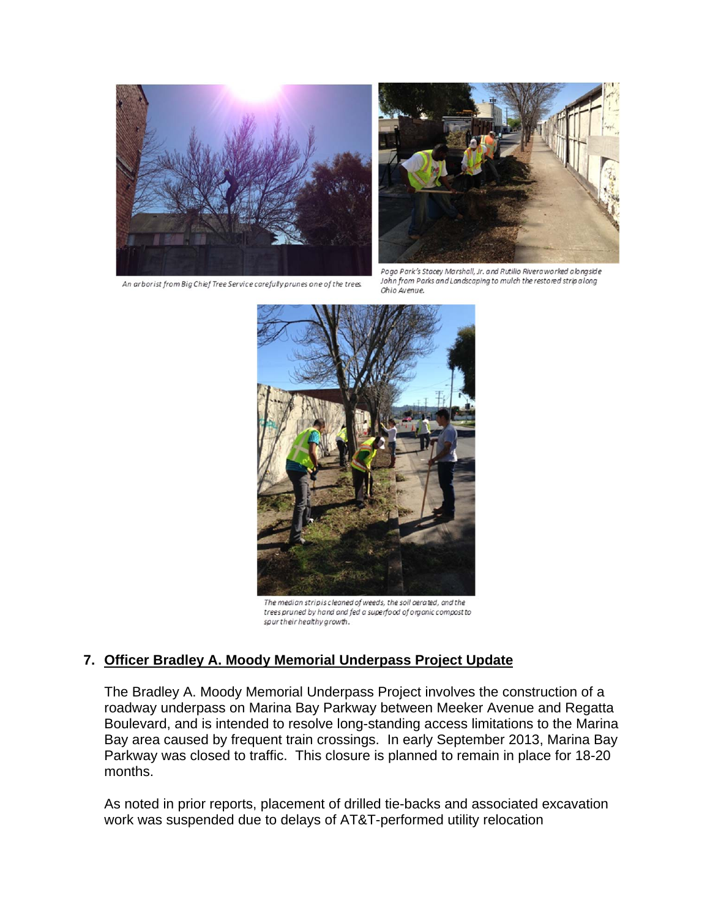

An arborist from Big Chief Tree Service carefully prunes one of the trees.



Pogo Park's Stacey Marshall, Jr. and Rutilio Riveraworked alongside John from Parks and Landscaping to mulch the restored strip along Ohio Avenue.



The median stripis cleaned of weeds, the soil aerated, and the trees pruned by hand and fed a superfood of organic compost to spur their healthy growth.

## **7. Officer Bradley A. Moody Memorial Underpass Project Update**

The Bradley A. Moody Memorial Underpass Project involves the construction of a roadway underpass on Marina Bay Parkway between Meeker Avenue and Regatta Boulevard, and is intended to resolve long-standing access limitations to the Marina Bay area caused by frequent train crossings. In early September 2013, Marina Bay Parkway was closed to traffic. This closure is planned to remain in place for 18-20 months.

As noted in prior reports, placement of drilled tie-backs and associated excavation work was suspended due to delays of AT&T-performed utility relocation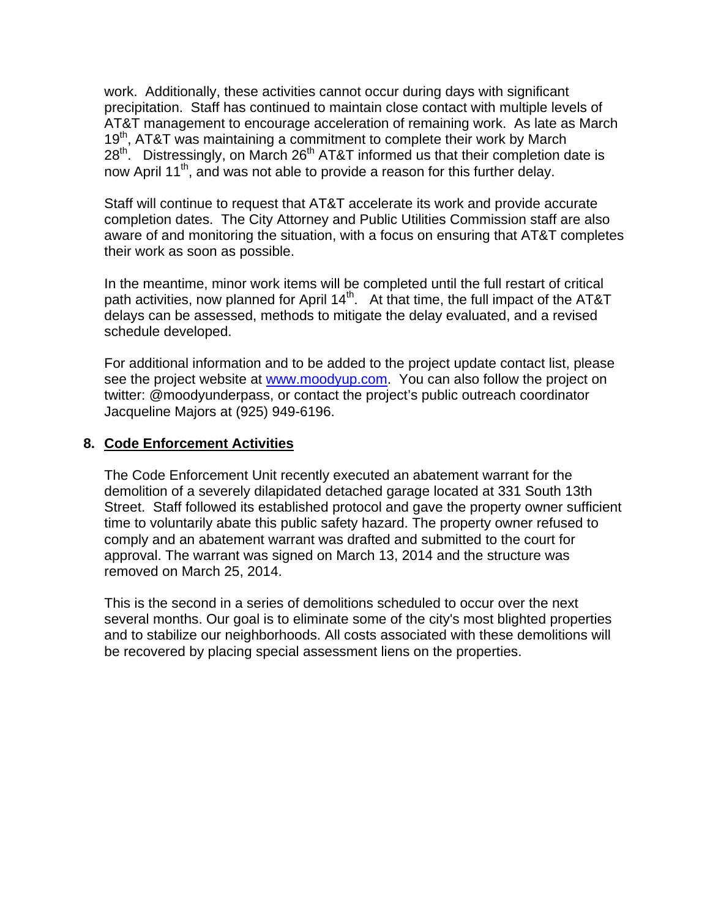work. Additionally, these activities cannot occur during days with significant precipitation. Staff has continued to maintain close contact with multiple levels of AT&T management to encourage acceleration of remaining work. As late as March 19<sup>th</sup>, AT&T was maintaining a commitment to complete their work by March 28<sup>th</sup>. Distressingly, on March 26<sup>th</sup> AT&T informed us that their completion date is now April 11<sup>th</sup>, and was not able to provide a reason for this further delay.

Staff will continue to request that AT&T accelerate its work and provide accurate completion dates. The City Attorney and Public Utilities Commission staff are also aware of and monitoring the situation, with a focus on ensuring that AT&T completes their work as soon as possible.

In the meantime, minor work items will be completed until the full restart of critical path activities, now planned for April  $14<sup>th</sup>$ . At that time, the full impact of the AT&T delays can be assessed, methods to mitigate the delay evaluated, and a revised schedule developed.

For additional information and to be added to the project update contact list, please see the project website at www.moodyup.com. You can also follow the project on twitter: @moodyunderpass, or contact the project's public outreach coordinator Jacqueline Majors at (925) 949-6196.

#### **8. Code Enforcement Activities**

The Code Enforcement Unit recently executed an abatement warrant for the demolition of a severely dilapidated detached garage located at 331 South 13th Street. Staff followed its established protocol and gave the property owner sufficient time to voluntarily abate this public safety hazard. The property owner refused to comply and an abatement warrant was drafted and submitted to the court for approval. The warrant was signed on March 13, 2014 and the structure was removed on March 25, 2014.

This is the second in a series of demolitions scheduled to occur over the next several months. Our goal is to eliminate some of the city's most blighted properties and to stabilize our neighborhoods. All costs associated with these demolitions will be recovered by placing special assessment liens on the properties.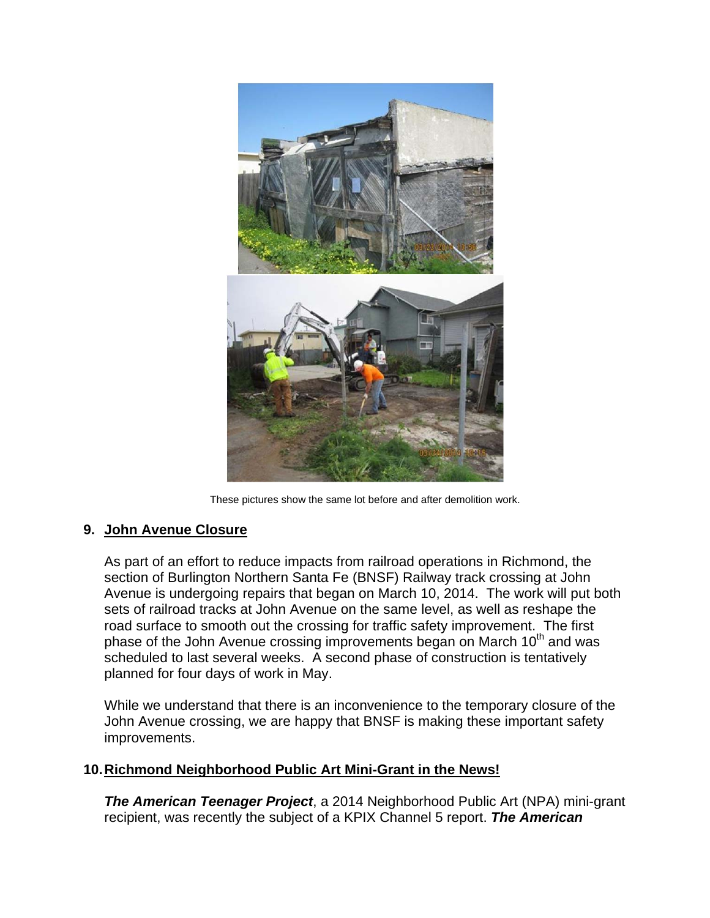

These pictures show the same lot before and after demolition work.

## **9. John Avenue Closure**

As part of an effort to reduce impacts from railroad operations in Richmond, the section of Burlington Northern Santa Fe (BNSF) Railway track crossing at John Avenue is undergoing repairs that began on March 10, 2014. The work will put both sets of railroad tracks at John Avenue on the same level, as well as reshape the road surface to smooth out the crossing for traffic safety improvement. The first phase of the John Avenue crossing improvements began on March 10<sup>th</sup> and was scheduled to last several weeks. A second phase of construction is tentatively planned for four days of work in May.

While we understand that there is an inconvenience to the temporary closure of the John Avenue crossing, we are happy that BNSF is making these important safety improvements.

## **10. Richmond Neighborhood Public Art Mini-Grant in the News!**

*The American Teenager Project*, a 2014 Neighborhood Public Art (NPA) mini-grant recipient, was recently the subject of a KPIX Channel 5 report. *The American*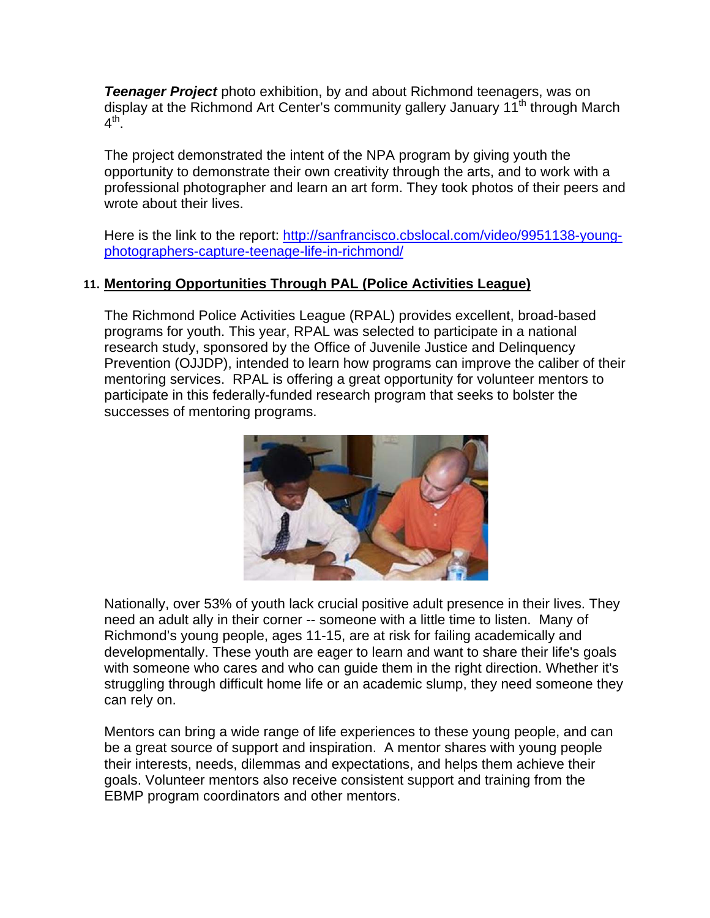*Teenager Project* photo exhibition, by and about Richmond teenagers, was on display at the Richmond Art Center's community gallery January 11<sup>th</sup> through March  $4^{\text{th}}$ .

The project demonstrated the intent of the NPA program by giving youth the opportunity to demonstrate their own creativity through the arts, and to work with a professional photographer and learn an art form. They took photos of their peers and wrote about their lives.

Here is the link to the report: http://sanfrancisco.cbslocal.com/video/9951138-youngphotographers-capture-teenage-life-in-richmond/

## **11. Mentoring Opportunities Through PAL (Police Activities League)**

The Richmond Police Activities League (RPAL) provides excellent, broad-based programs for youth. This year, RPAL was selected to participate in a national research study, sponsored by the Office of Juvenile Justice and Delinquency Prevention (OJJDP), intended to learn how programs can improve the caliber of their mentoring services. RPAL is offering a great opportunity for volunteer mentors to participate in this federally-funded research program that seeks to bolster the successes of mentoring programs.



Nationally, over 53% of youth lack crucial positive adult presence in their lives. They need an adult ally in their corner -- someone with a little time to listen. Many of Richmond's young people, ages 11-15, are at risk for failing academically and developmentally. These youth are eager to learn and want to share their life's goals with someone who cares and who can guide them in the right direction. Whether it's struggling through difficult home life or an academic slump, they need someone they can rely on.

Mentors can bring a wide range of life experiences to these young people, and can be a great source of support and inspiration. A mentor shares with young people their interests, needs, dilemmas and expectations, and helps them achieve their goals. Volunteer mentors also receive consistent support and training from the EBMP program coordinators and other mentors.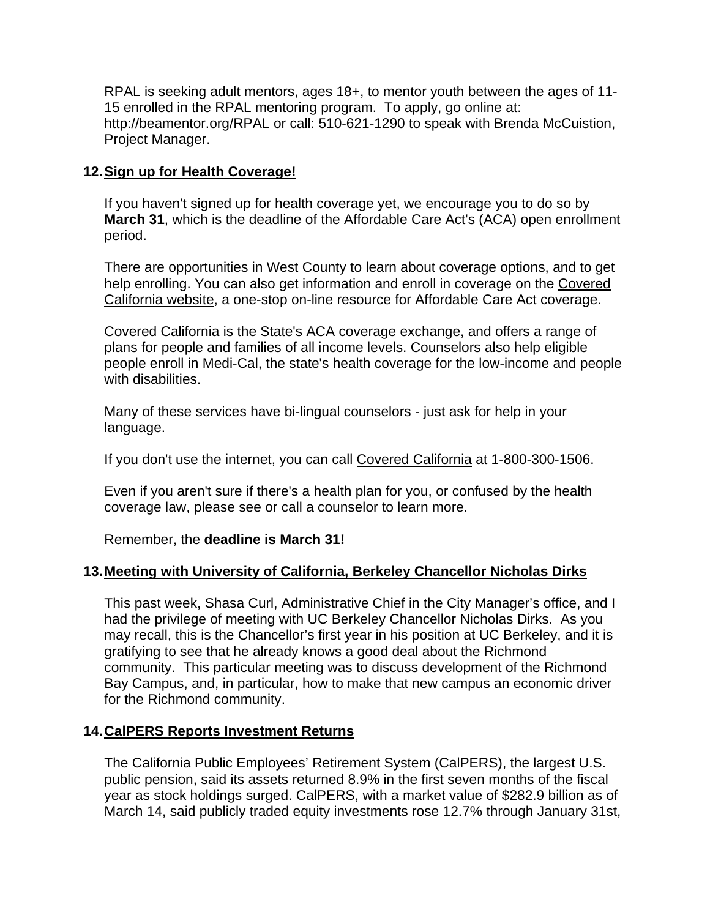RPAL is seeking adult mentors, ages 18+, to mentor youth between the ages of 11- 15 enrolled in the RPAL mentoring program. To apply, go online at: http://beamentor.org/RPAL or call: 510-621-1290 to speak with Brenda McCuistion, Project Manager.

## **12. Sign up for Health Coverage!**

If you haven't signed up for health coverage yet, we encourage you to do so by **March 31**, which is the deadline of the Affordable Care Act's (ACA) open enrollment period.

There are opportunities in West County to learn about coverage options, and to get help enrolling. You can also get information and enroll in coverage on the Covered California website, a one-stop on-line resource for Affordable Care Act coverage.

Covered California is the State's ACA coverage exchange, and offers a range of plans for people and families of all income levels. Counselors also help eligible people enroll in Medi-Cal, the state's health coverage for the low-income and people with disabilities.

Many of these services have bi-lingual counselors - just ask for help in your language.

If you don't use the internet, you can call Covered California at 1-800-300-1506.

Even if you aren't sure if there's a health plan for you, or confused by the health coverage law, please see or call a counselor to learn more.

Remember, the **deadline is March 31!**

## **13. Meeting with University of California, Berkeley Chancellor Nicholas Dirks**

This past week, Shasa Curl, Administrative Chief in the City Manager's office, and I had the privilege of meeting with UC Berkeley Chancellor Nicholas Dirks. As you may recall, this is the Chancellor's first year in his position at UC Berkeley, and it is gratifying to see that he already knows a good deal about the Richmond community. This particular meeting was to discuss development of the Richmond Bay Campus, and, in particular, how to make that new campus an economic driver for the Richmond community.

## **14. CalPERS Reports Investment Returns**

The California Public Employees' Retirement System (CalPERS), the largest U.S. public pension, said its assets returned 8.9% in the first seven months of the fiscal year as stock holdings surged. CalPERS, with a market value of \$282.9 billion as of March 14, said publicly traded equity investments rose 12.7% through January 31st,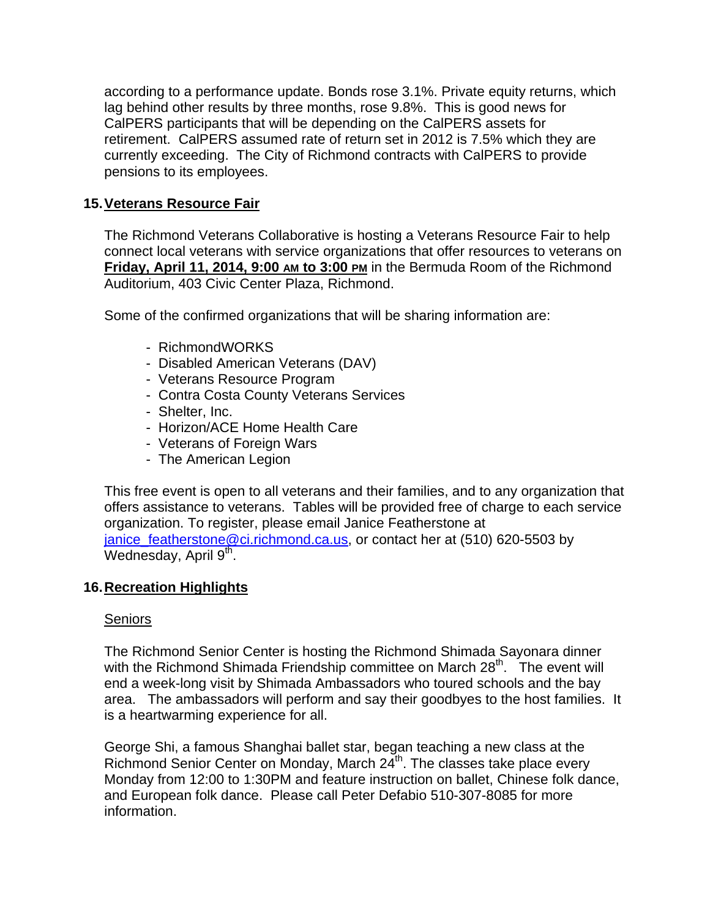according to a performance update. Bonds rose 3.1%. Private equity returns, which lag behind other results by three months, rose 9.8%. This is good news for CalPERS participants that will be depending on the CalPERS assets for retirement. CalPERS assumed rate of return set in 2012 is 7.5% which they are currently exceeding. The City of Richmond contracts with CalPERS to provide pensions to its employees.

## **15. Veterans Resource Fair**

The Richmond Veterans Collaborative is hosting a Veterans Resource Fair to help connect local veterans with service organizations that offer resources to veterans on **Friday, April 11, 2014, 9:00 AM to 3:00 PM** in the Bermuda Room of the Richmond Auditorium, 403 Civic Center Plaza, Richmond.

Some of the confirmed organizations that will be sharing information are:

- RichmondWORKS
- Disabled American Veterans (DAV)
- Veterans Resource Program
- Contra Costa County Veterans Services
- Shelter, Inc.
- Horizon/ACE Home Health Care
- Veterans of Foreign Wars
- The American Legion

This free event is open to all veterans and their families, and to any organization that offers assistance to veterans. Tables will be provided free of charge to each service organization. To register, please email Janice Featherstone at janice\_featherstone@ci.richmond.ca.us, or contact her at (510) 620-5503 by Wednesday, April 9<sup>th</sup>.

## **16. Recreation Highlights**

## Seniors

The Richmond Senior Center is hosting the Richmond Shimada Sayonara dinner with the Richmond Shimada Friendship committee on March  $28<sup>th</sup>$ . The event will end a week-long visit by Shimada Ambassadors who toured schools and the bay area. The ambassadors will perform and say their goodbyes to the host families. It is a heartwarming experience for all.

George Shi, a famous Shanghai ballet star, began teaching a new class at the Richmond Senior Center on Monday, March 24<sup>th</sup>. The classes take place every Monday from 12:00 to 1:30PM and feature instruction on ballet, Chinese folk dance, and European folk dance. Please call Peter Defabio 510-307-8085 for more information.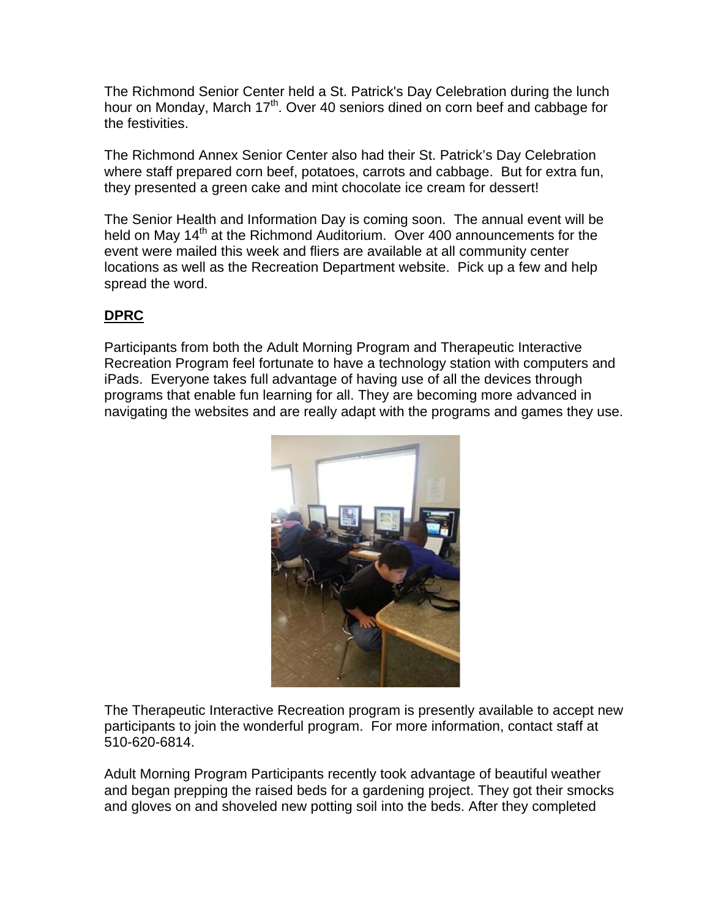The Richmond Senior Center held a St. Patrick's Day Celebration during the lunch hour on Monday, March 17<sup>th</sup>. Over 40 seniors dined on corn beef and cabbage for the festivities.

The Richmond Annex Senior Center also had their St. Patrick's Day Celebration where staff prepared corn beef, potatoes, carrots and cabbage. But for extra fun, they presented a green cake and mint chocolate ice cream for dessert!

The Senior Health and Information Day is coming soon. The annual event will be held on May 14<sup>th</sup> at the Richmond Auditorium. Over 400 announcements for the event were mailed this week and fliers are available at all community center locations as well as the Recreation Department website. Pick up a few and help spread the word.

# **DPRC**

Participants from both the Adult Morning Program and Therapeutic Interactive Recreation Program feel fortunate to have a technology station with computers and iPads. Everyone takes full advantage of having use of all the devices through programs that enable fun learning for all. They are becoming more advanced in navigating the websites and are really adapt with the programs and games they use.



The Therapeutic Interactive Recreation program is presently available to accept new participants to join the wonderful program. For more information, contact staff at 510-620-6814.

Adult Morning Program Participants recently took advantage of beautiful weather and began prepping the raised beds for a gardening project. They got their smocks and gloves on and shoveled new potting soil into the beds. After they completed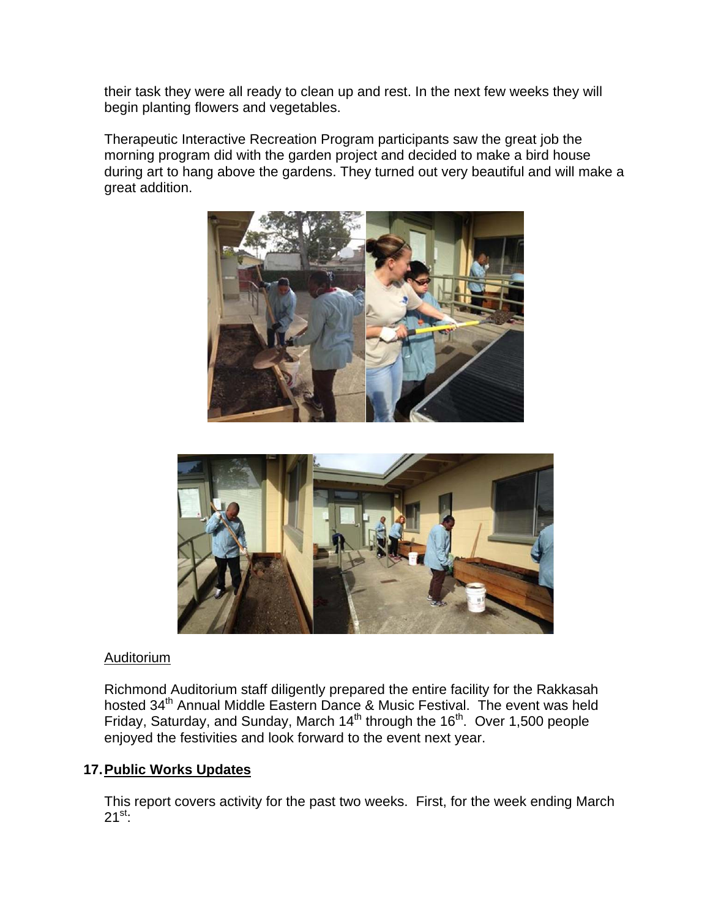their task they were all ready to clean up and rest. In the next few weeks they will begin planting flowers and vegetables.

Therapeutic Interactive Recreation Program participants saw the great job the morning program did with the garden project and decided to make a bird house during art to hang above the gardens. They turned out very beautiful and will make a great addition.





#### Auditorium

Richmond Auditorium staff diligently prepared the entire facility for the Rakkasah hosted 34<sup>th</sup> Annual Middle Eastern Dance & Music Festival. The event was held Friday, Saturday, and Sunday, March  $14<sup>th</sup>$  through the  $16<sup>th</sup>$ . Over 1,500 people enjoyed the festivities and look forward to the event next year.

## **17. Public Works Updates**

This report covers activity for the past two weeks. First, for the week ending March  $21^{st}$ :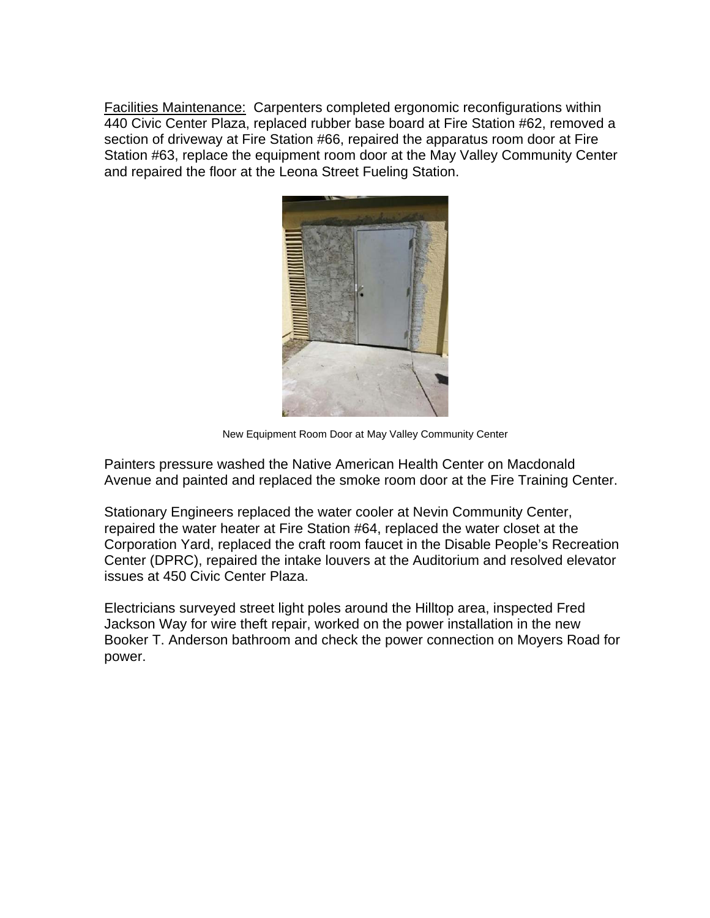Facilities Maintenance: Carpenters completed ergonomic reconfigurations within 440 Civic Center Plaza, replaced rubber base board at Fire Station #62, removed a section of driveway at Fire Station #66, repaired the apparatus room door at Fire Station #63, replace the equipment room door at the May Valley Community Center and repaired the floor at the Leona Street Fueling Station.



New Equipment Room Door at May Valley Community Center

Painters pressure washed the Native American Health Center on Macdonald Avenue and painted and replaced the smoke room door at the Fire Training Center.

Stationary Engineers replaced the water cooler at Nevin Community Center, repaired the water heater at Fire Station #64, replaced the water closet at the Corporation Yard, replaced the craft room faucet in the Disable People's Recreation Center (DPRC), repaired the intake louvers at the Auditorium and resolved elevator issues at 450 Civic Center Plaza.

Electricians surveyed street light poles around the Hilltop area, inspected Fred Jackson Way for wire theft repair, worked on the power installation in the new Booker T. Anderson bathroom and check the power connection on Moyers Road for power.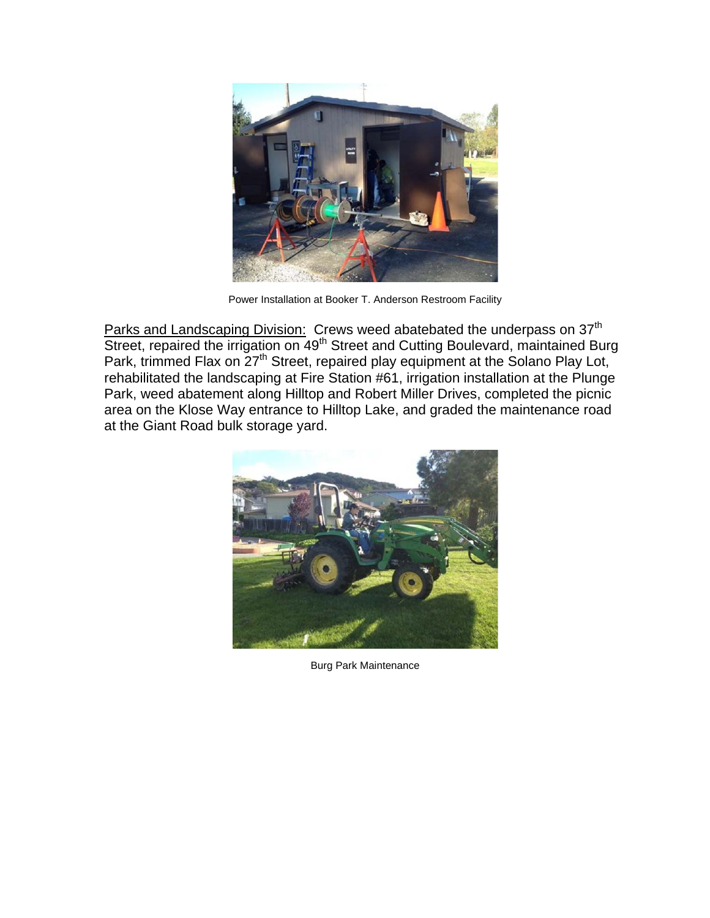

Power Installation at Booker T. Anderson Restroom Facility

Parks and Landscaping Division: Crews weed abatebated the underpass on 37<sup>th</sup> Street, repaired the irrigation on 49<sup>th</sup> Street and Cutting Boulevard, maintained Burg Park, trimmed Flax on  $27<sup>th</sup>$  Street, repaired play equipment at the Solano Play Lot, rehabilitated the landscaping at Fire Station #61, irrigation installation at the Plunge Park, weed abatement along Hilltop and Robert Miller Drives, completed the picnic area on the Klose Way entrance to Hilltop Lake, and graded the maintenance road at the Giant Road bulk storage yard.



Burg Park Maintenance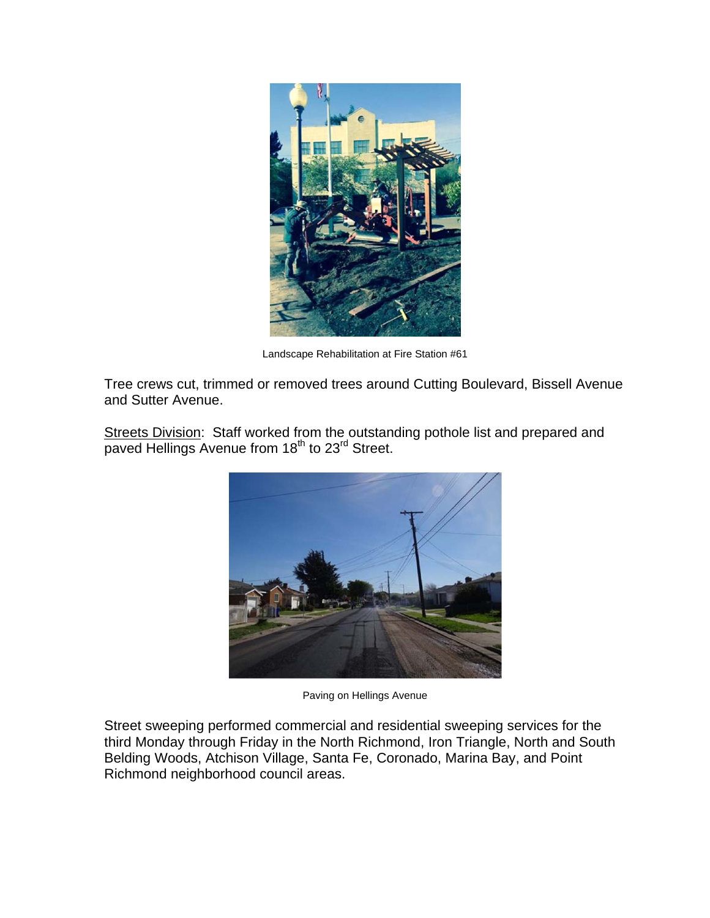

Landscape Rehabilitation at Fire Station #61

Tree crews cut, trimmed or removed trees around Cutting Boulevard, Bissell Avenue and Sutter Avenue.

Streets Division: Staff worked from the outstanding pothole list and prepared and paved Hellings Avenue from 18<sup>th</sup> to 23<sup>rd</sup> Street.



Paving on Hellings Avenue

Street sweeping performed commercial and residential sweeping services for the third Monday through Friday in the North Richmond, Iron Triangle, North and South Belding Woods, Atchison Village, Santa Fe, Coronado, Marina Bay, and Point Richmond neighborhood council areas.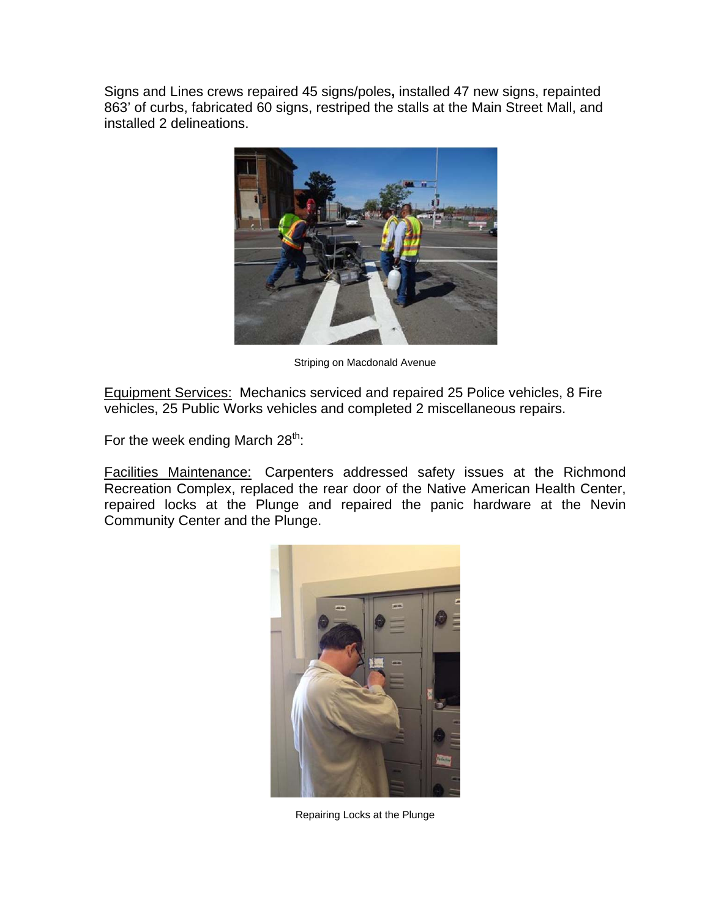Signs and Lines crews repaired 45 signs/poles**,** installed 47 new signs, repainted 863' of curbs, fabricated 60 signs, restriped the stalls at the Main Street Mall, and installed 2 delineations.



Striping on Macdonald Avenue

Equipment Services: Mechanics serviced and repaired 25 Police vehicles, 8 Fire vehicles, 25 Public Works vehicles and completed 2 miscellaneous repairs.

For the week ending March  $28^{th}$ :

Facilities Maintenance: Carpenters addressed safety issues at the Richmond Recreation Complex, replaced the rear door of the Native American Health Center, repaired locks at the Plunge and repaired the panic hardware at the Nevin Community Center and the Plunge.



Repairing Locks at the Plunge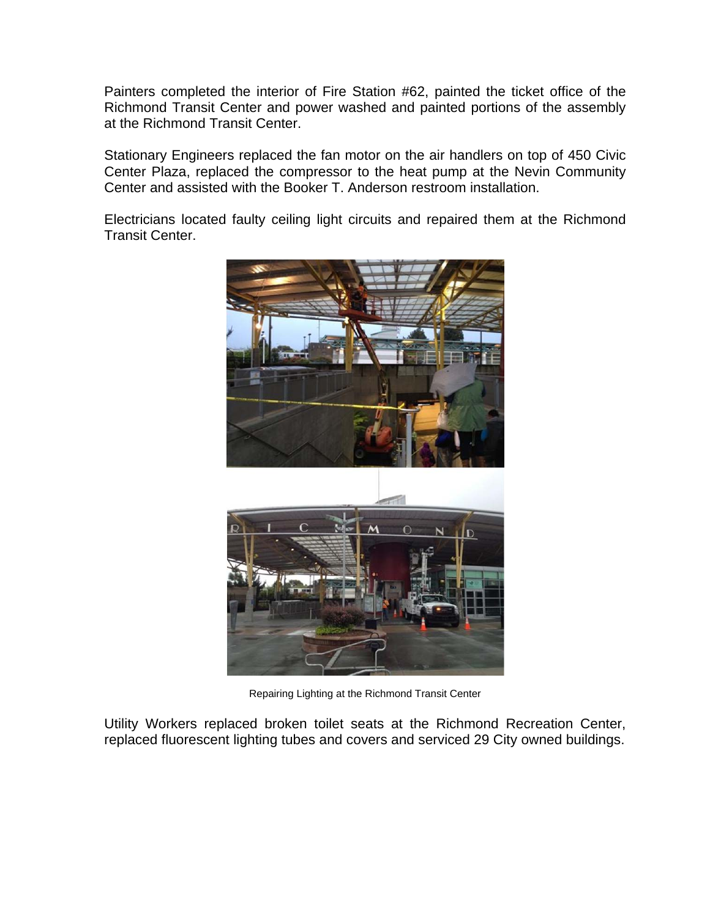Painters completed the interior of Fire Station #62, painted the ticket office of the Richmond Transit Center and power washed and painted portions of the assembly at the Richmond Transit Center.

Stationary Engineers replaced the fan motor on the air handlers on top of 450 Civic Center Plaza, replaced the compressor to the heat pump at the Nevin Community Center and assisted with the Booker T. Anderson restroom installation.

Electricians located faulty ceiling light circuits and repaired them at the Richmond Transit Center.



Repairing Lighting at the Richmond Transit Center

Utility Workers replaced broken toilet seats at the Richmond Recreation Center, replaced fluorescent lighting tubes and covers and serviced 29 City owned buildings.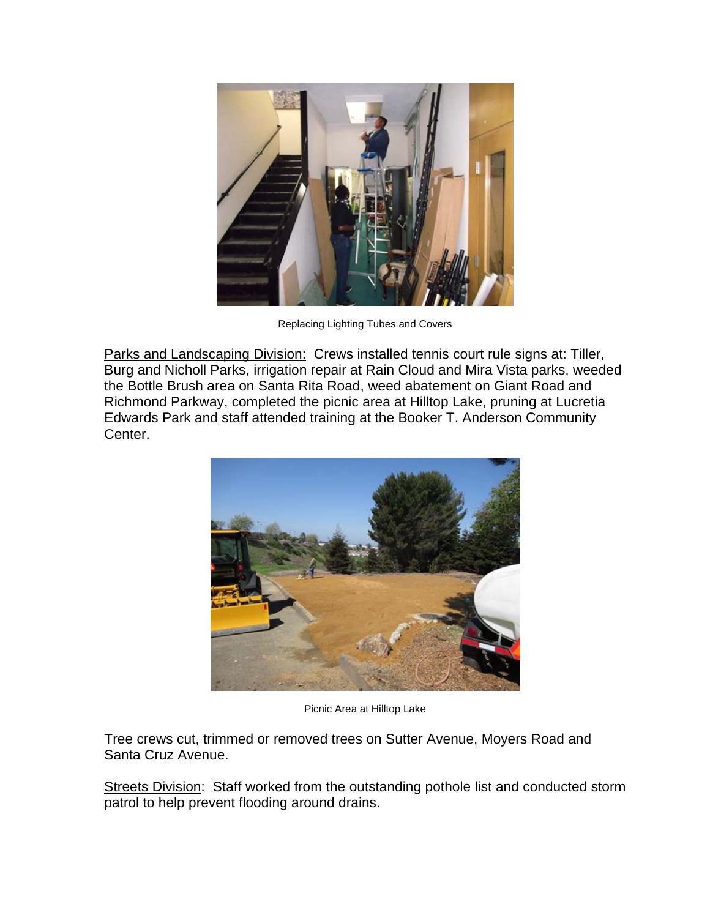

Replacing Lighting Tubes and Covers

Parks and Landscaping Division: Crews installed tennis court rule signs at: Tiller, Burg and Nicholl Parks, irrigation repair at Rain Cloud and Mira Vista parks, weeded the Bottle Brush area on Santa Rita Road, weed abatement on Giant Road and Richmond Parkway, completed the picnic area at Hilltop Lake, pruning at Lucretia Edwards Park and staff attended training at the Booker T. Anderson Community Center.



Picnic Area at Hilltop Lake

Tree crews cut, trimmed or removed trees on Sutter Avenue, Moyers Road and Santa Cruz Avenue.

Streets Division: Staff worked from the outstanding pothole list and conducted storm patrol to help prevent flooding around drains.